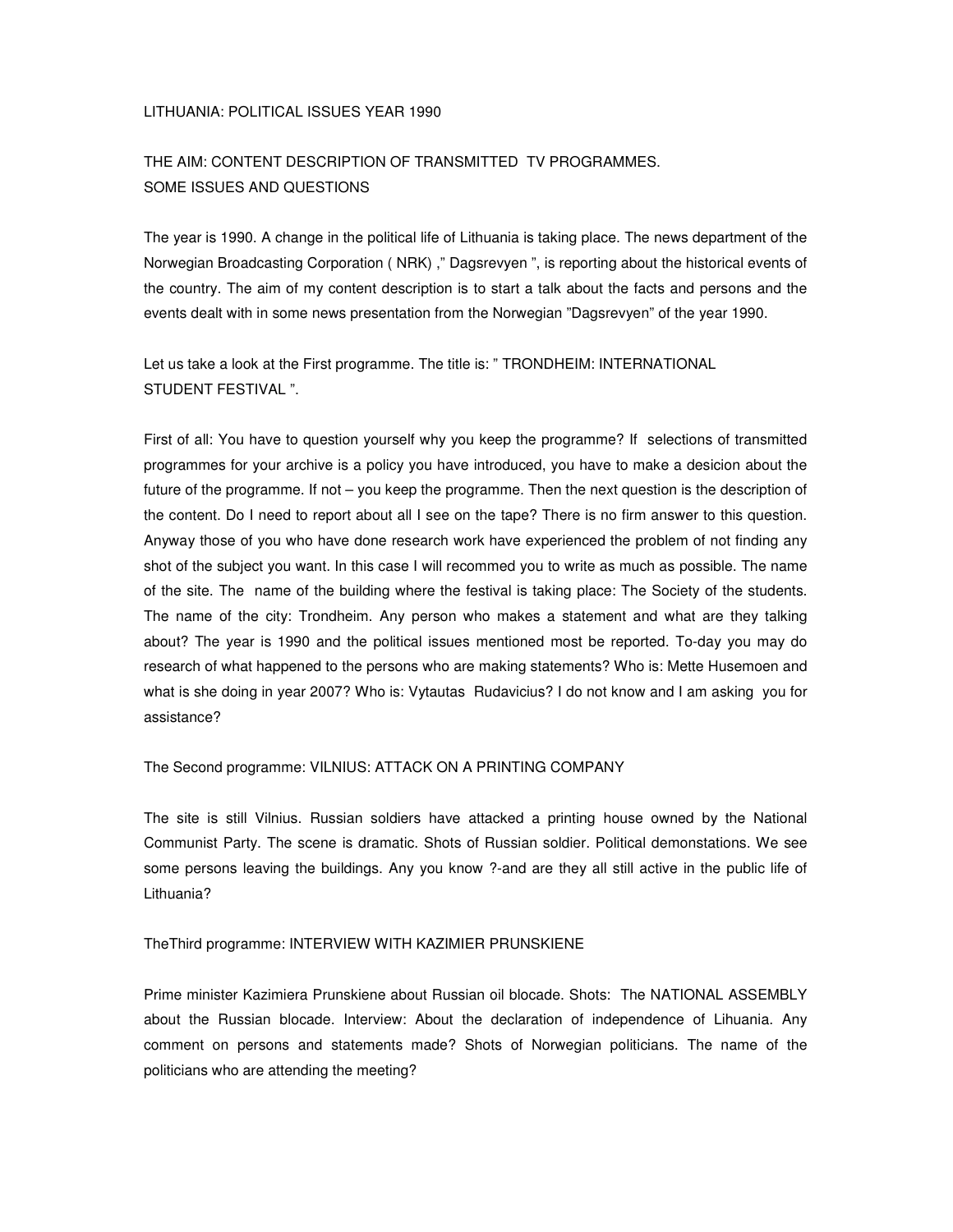### LITHUANIA: POLITICAL ISSUES YEAR 1990

## THE AIM: CONTENT DESCRIPTION OF TRANSMITTED TV PROGRAMMES. SOME ISSUES AND QUESTIONS

The year is 1990. A change in the political life of Lithuania is taking place. The news department of the Norwegian Broadcasting Corporation ( NRK) ," Dagsrevyen ", is reporting about the historical events of the country. The aim of my content description is to start a talk about the facts and persons and the events dealt with in some news presentation from the Norwegian "Dagsrevyen" of the year 1990.

Let us take a look at the First programme. The title is: " TRONDHEIM: INTERNATIONAL STUDENT FESTIVAL ".

First of all: You have to question yourself why you keep the programme? If selections of transmitted programmes for your archive is a policy you have introduced, you have to make a desicion about the future of the programme. If not – you keep the programme. Then the next question is the description of the content. Do I need to report about all I see on the tape? There is no firm answer to this question. Anyway those of you who have done research work have experienced the problem of not finding any shot of the subject you want. In this case I will recommed you to write as much as possible. The name of the site. The name of the building where the festival is taking place: The Society of the students. The name of the city: Trondheim. Any person who makes a statement and what are they talking about? The year is 1990 and the political issues mentioned most be reported. To-day you may do research of what happened to the persons who are making statements? Who is: Mette Husemoen and what is she doing in year 2007? Who is: Vytautas Rudavicius? I do not know and I am asking you for assistance?

The Second programme: VILNIUS: ATTACK ON A PRINTING COMPANY

The site is still Vilnius. Russian soldiers have attacked a printing house owned by the National Communist Party. The scene is dramatic. Shots of Russian soldier. Political demonstations. We see some persons leaving the buildings. Any you know ?-and are they all still active in the public life of Lithuania?

#### TheThird programme: INTERVIEW WITH KAZIMIER PRUNSKIENE

Prime minister Kazimiera Prunskiene about Russian oil blocade. Shots: The NATIONAL ASSEMBLY about the Russian blocade. Interview: About the declaration of independence of Lihuania. Any comment on persons and statements made? Shots of Norwegian politicians. The name of the politicians who are attending the meeting?